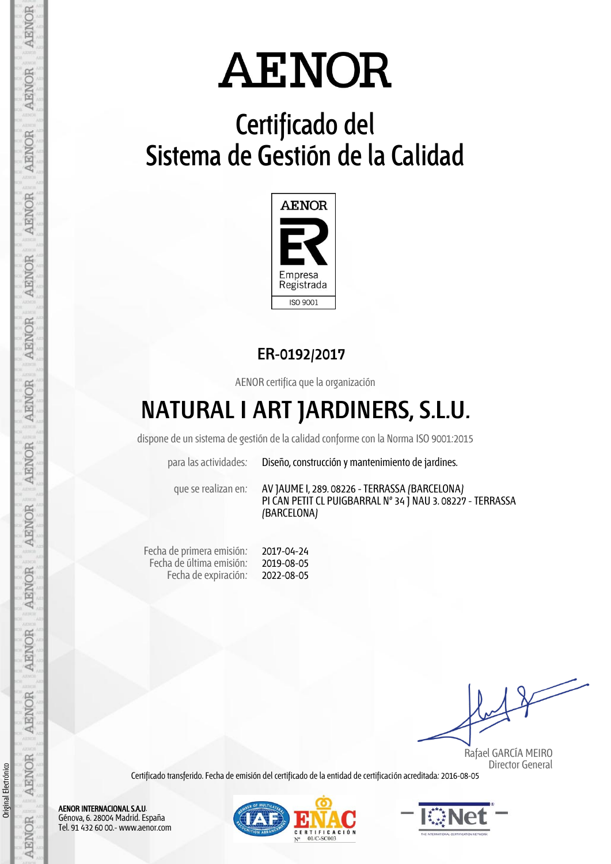# **Certificado del Sistema de Gestión de la Calidad**



## **ER-0192/2017**

AENOR certifica que la organización

## **NATURAL I ART JARDINERS, S.L.U.**

dispone de un sistema de gestión de la calidad conforme con la Norma ISO 9001:2015

para las actividades: Diseño, construcción y mantenimiento de jardines.

que se realizan en: AV JAUME I, 289. 08226 -TERRASSA (BARCELONA) PI CAN PETIT CL PUIGBARRAL Nº 34 J NAU 3. 08227 - TERRASSA (BARCELONA)

Fecha de primera emisión: Fecha de última emisión: Fecha de expiración: 2017-04-24 2019-08-05 2022-08-05

 Rafael GARCÍA MEIRO Director General

Certificado transferido. Fecha de emisión del certificado de la entidad de certificación acreditada: 2016-08-05

AENOR INTERNACIONAL S.A.U. Génova, 6. 28004 Madrid. España Tel. 91 432 60 00.- www.aenor.com





Original Electrónico Original Electrónico

AENOR

AENOR

AENOR

**AENOR** 

**AENOR** 

AENOR

**AENOR** 

**AENOR** 

**AENOR** 

AENOR

AENOR

**AENOR** 

**AENOR** 

**AENOR**